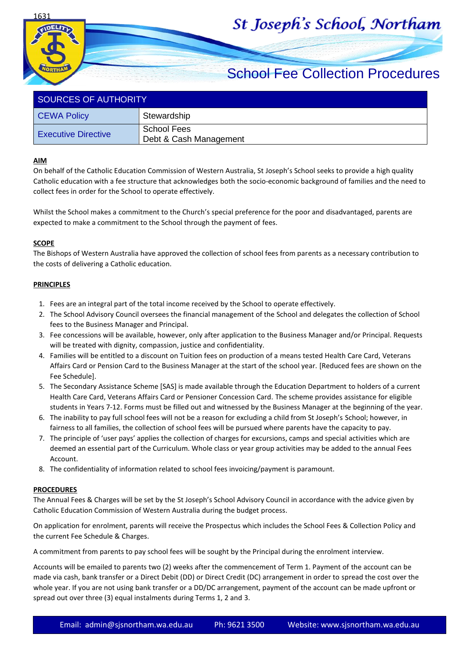1631

# St Joseph's School, Northam

## School Fee Collection Procedures

| SOURCES OF AUTHORITY       |                                       |  |
|----------------------------|---------------------------------------|--|
| CEWA Policy                | Stewardship                           |  |
| <b>Executive Directive</b> | School Fees<br>Debt & Cash Management |  |

#### **AIM**

On behalf of the Catholic Education Commission of Western Australia, St Joseph's School seeks to provide a high quality Catholic education with a fee structure that acknowledges both the socio-economic background of families and the need to collect fees in order for the School to operate effectively.

Whilst the School makes a commitment to the Church's special preference for the poor and disadvantaged, parents are expected to make a commitment to the School through the payment of fees.

#### **SCOPE**

The Bishops of Western Australia have approved the collection of school fees from parents as a necessary contribution to the costs of delivering a Catholic education.

#### **PRINCIPLES**

- 1. Fees are an integral part of the total income received by the School to operate effectively.
- 2. The School Advisory Council oversees the financial management of the School and delegates the collection of School fees to the Business Manager and Principal.
- 3. Fee concessions will be available, however, only after application to the Business Manager and/or Principal. Requests will be treated with dignity, compassion, justice and confidentiality.
- 4. Families will be entitled to a discount on Tuition fees on production of a means tested Health Care Card, Veterans Affairs Card or Pension Card to the Business Manager at the start of the school year. [Reduced fees are shown on the Fee Schedule].
- 5. The Secondary Assistance Scheme [SAS] is made available through the Education Department to holders of a current Health Care Card, Veterans Affairs Card or Pensioner Concession Card. The scheme provides assistance for eligible students in Years 7-12. Forms must be filled out and witnessed by the Business Manager at the beginning of the year.
- 6. The inability to pay full school fees will not be a reason for excluding a child from St Joseph's School; however, in fairness to all families, the collection of school fees will be pursued where parents have the capacity to pay.
- 7. The principle of 'user pays' applies the collection of charges for excursions, camps and special activities which are deemed an essential part of the Curriculum. Whole class or year group activities may be added to the annual Fees Account.
- 8. The confidentiality of information related to school fees invoicing/payment is paramount.

#### **PROCEDURES**

The Annual Fees & Charges will be set by the St Joseph's School Advisory Council in accordance with the advice given by Catholic Education Commission of Western Australia during the budget process.

On application for enrolment, parents will receive the Prospectus which includes the School Fees & Collection Policy and the current Fee Schedule & Charges.

A commitment from parents to pay school fees will be sought by the Principal during the enrolment interview.

Accounts will be emailed to parents two (2) weeks after the commencement of Term 1. Payment of the account can be made via cash, bank transfer or a Direct Debit (DD) or Direct Credit (DC) arrangement in order to spread the cost over the whole year. If you are not using bank transfer or a DD/DC arrangement, payment of the account can be made upfront or spread out over three (3) equal instalments during Terms 1, 2 and 3.